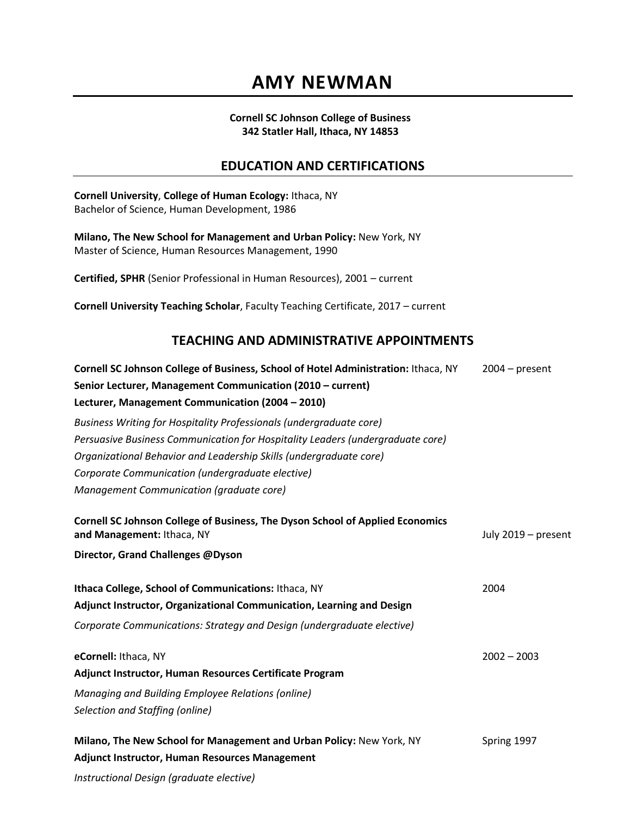#### **Cornell SC Johnson College of Business 342 Statler Hall, Ithaca, NY 14853**

#### **EDUCATION AND CERTIFICATIONS**

**Cornell University**, **College of Human Ecology:** Ithaca, NY Bachelor of Science, Human Development, 1986 **Milano, The New School for Management and Urban Policy:** New York, NY Master of Science, Human Resources Management, 1990 **Certified, SPHR** (Senior Professional in Human Resources), 2001 – current **Cornell University Teaching Scholar**, Faculty Teaching Certificate, 2017 – current **TEACHING AND ADMINISTRATIVE APPOINTMENTS Cornell SC Johnson College of Business, School of Hotel Administration:** Ithaca, NY 2004 – present **Senior Lecturer, Management Communication (2010 – current) Lecturer, Management Communication (2004 – 2010)** *Business Writing for Hospitality Professionals (undergraduate core) Persuasive Business Communication for Hospitality Leaders (undergraduate core) Organizational Behavior and Leadership Skills (undergraduate core) Corporate Communication (undergraduate elective) Management Communication (graduate core)* **Cornell SC Johnson College of Business, The Dyson School of Applied Economics and Management:** Ithaca, NY **July 2019** – present **Director, Grand Challenges @Dyson Ithaca College, School of Communications:** Ithaca, NY 2004 **Adjunct Instructor, Organizational Communication, Learning and Design** *Corporate Communications: Strategy and Design (undergraduate elective)* **eCornell:** Ithaca, NY2002 – 2003 **Adjunct Instructor, Human Resources Certificate Program** *Managing and Building Employee Relations (online) Selection and Staffing (online)* **Milano, The New School for Management and Urban Policy: New York, NY Spring 1997 Adjunct Instructor, Human Resources Management** *Instructional Design (graduate elective)*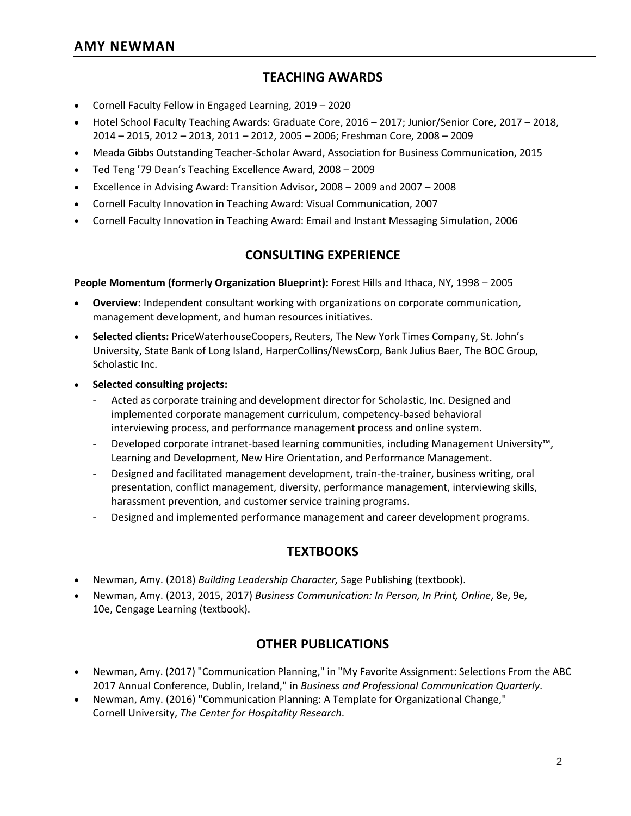#### **TEACHING AWARDS**

- Cornell Faculty Fellow in Engaged Learning, 2019 2020
- Hotel School Faculty Teaching Awards: Graduate Core, 2016 2017; Junior/Senior Core, 2017 2018, 2014 – 2015, 2012 – 2013, 2011 – 2012, 2005 – 2006; Freshman Core, 2008 – 2009
- Meada Gibbs Outstanding Teacher-Scholar Award, Association for Business Communication, 2015
- Ted Teng '79 Dean's Teaching Excellence Award, 2008 2009
- Excellence in Advising Award: Transition Advisor, 2008 2009 and 2007 2008
- Cornell Faculty Innovation in Teaching Award: Visual Communication, 2007
- Cornell Faculty Innovation in Teaching Award: Email and Instant Messaging Simulation, 2006

#### **CONSULTING EXPERIENCE**

**People Momentum (formerly Organization Blueprint):** Forest Hills and Ithaca, NY, 1998 – 2005

- **Overview:** Independent consultant working with organizations on corporate communication, management development, and human resources initiatives.
- **Selected clients:** PriceWaterhouseCoopers, Reuters, The New York Times Company, St. John's University, State Bank of Long Island, HarperCollins/NewsCorp, Bank Julius Baer, The BOC Group, Scholastic Inc.
- **Selected consulting projects:** 
	- Acted as corporate training and development director for Scholastic, Inc. Designed and implemented corporate management curriculum, competency-based behavioral interviewing process, and performance management process and online system.
	- Developed corporate intranet-based learning communities, including Management University™, Learning and Development, New Hire Orientation, and Performance Management.
	- Designed and facilitated management development, train-the-trainer, business writing, oral presentation, conflict management, diversity, performance management, interviewing skills, harassment prevention, and customer service training programs.
	- Designed and implemented performance management and career development programs.

#### **TEXTBOOKS**

- Newman, Amy. (2018) *Building Leadership Character,* Sage Publishing (textbook).
- Newman, Amy. (2013, 2015, 2017) *Business Communication: In Person, In Print, Online*, 8e, 9e, 10e, Cengage Learning (textbook).

#### **OTHER PUBLICATIONS**

- Newman, Amy. (2017) "Communication Planning," in "My Favorite Assignment: Selections From the ABC 2017 Annual Conference, Dublin, Ireland," in *Business and Professional Communication Quarterly*.
- Newman, Amy. (2016) "Communication Planning: A Template for Organizational Change," Cornell University, *The Center for Hospitality Research*.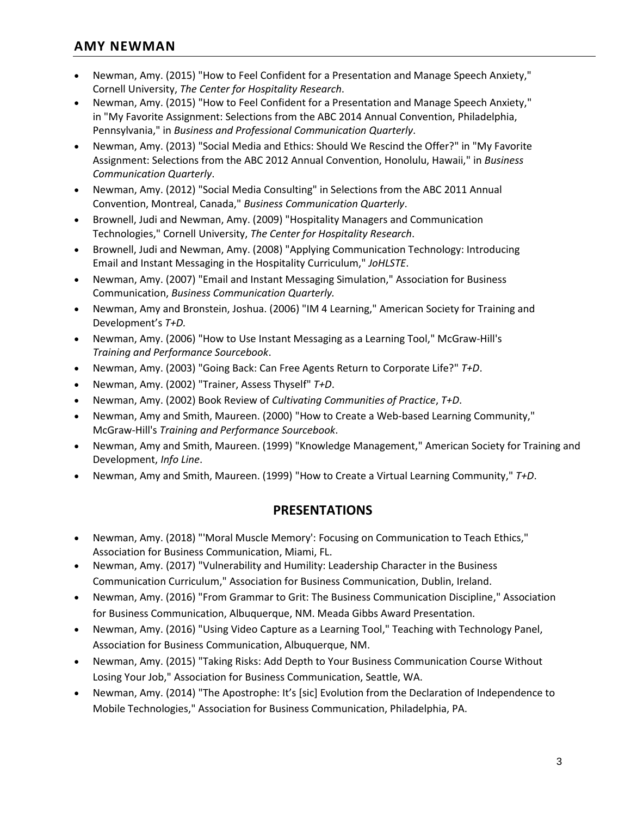- Newman, Amy. (2015) "How to Feel Confident for a Presentation and Manage Speech Anxiety," Cornell University, *The Center for Hospitality Research*.
- Newman, Amy. (2015) "How to Feel Confident for a Presentation and Manage Speech Anxiety," in "My Favorite Assignment: Selections from the ABC 2014 Annual Convention, Philadelphia, Pennsylvania," in *Business and Professional Communication Quarterly*.
- Newman, Amy. (2013) "Social Media and Ethics: Should We Rescind the Offer?" in "My Favorite Assignment: Selections from the ABC 2012 Annual Convention, Honolulu, Hawaii," in *Business Communication Quarterly*.
- Newman, Amy. (2012) "Social Media Consulting" in Selections from the ABC 2011 Annual Convention, Montreal, Canada," *Business Communication Quarterly*.
- Brownell, Judi and Newman, Amy. (2009) "Hospitality Managers and Communication Technologies," Cornell University, *The Center for Hospitality Research*.
- Brownell, Judi and Newman, Amy. (2008) "Applying Communication Technology: Introducing Email and Instant Messaging in the Hospitality Curriculum," *JoHLSTE*.
- Newman, Amy. (2007) "Email and Instant Messaging Simulation," Association for Business Communication, *Business Communication Quarterly.*
- Newman, Amy and Bronstein, Joshua. (2006) "IM 4 Learning," American Society for Training and Development's *T+D.*
- Newman, Amy. (2006) "How to Use Instant Messaging as a Learning Tool," McGraw-Hill's *Training and Performance Sourcebook*.
- Newman, Amy. (2003) "Going Back: Can Free Agents Return to Corporate Life?" *T+D*.
- Newman, Amy. (2002) "Trainer, Assess Thyself" *T+D*.
- Newman, Amy. (2002) Book Review of *Cultivating Communities of Practice*, *T+D*.
- Newman, Amy and Smith, Maureen. (2000) "How to Create a Web-based Learning Community," McGraw-Hill's *Training and Performance Sourcebook*.
- Newman, Amy and Smith, Maureen. (1999) "Knowledge Management," American Society for Training and Development, *Info Line*.
- Newman, Amy and Smith, Maureen. (1999) "How to Create a Virtual Learning Community," *T+D*.

## **PRESENTATIONS**

- Newman, Amy. (2018) "'Moral Muscle Memory': Focusing on Communication to Teach Ethics," Association for Business Communication, Miami, FL.
- Newman, Amy. (2017) "Vulnerability and Humility: Leadership Character in the Business Communication Curriculum," Association for Business Communication, Dublin, Ireland.
- Newman, Amy. (2016) "From Grammar to Grit: The Business Communication Discipline," Association for Business Communication, Albuquerque, NM. Meada Gibbs Award Presentation.
- Newman, Amy. (2016) "Using Video Capture as a Learning Tool," Teaching with Technology Panel, Association for Business Communication, Albuquerque, NM.
- Newman, Amy. (2015) "Taking Risks: Add Depth to Your Business Communication Course Without Losing Your Job," Association for Business Communication, Seattle, WA.
- Newman, Amy. (2014) "The Apostrophe: It's [sic] Evolution from the Declaration of Independence to Mobile Technologies," Association for Business Communication, Philadelphia, PA.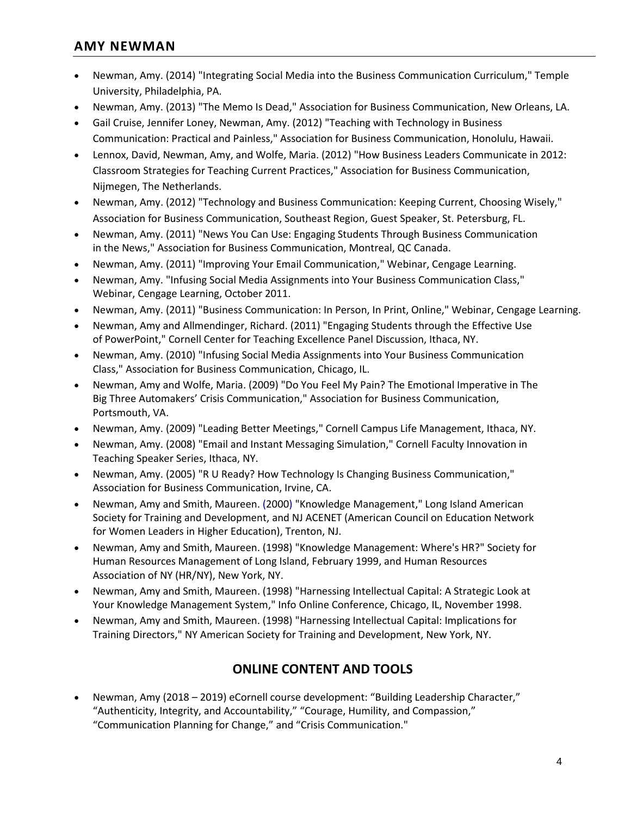- Newman, Amy. (2014) "Integrating Social Media into the Business Communication Curriculum," Temple University, Philadelphia, PA.
- Newman, Amy. (2013) "The Memo Is Dead," Association for Business Communication, New Orleans, LA.
- Gail Cruise, Jennifer Loney, Newman, Amy. (2012) "Teaching with Technology in Business Communication: Practical and Painless," Association for Business Communication, Honolulu, Hawaii.
- Lennox, David, Newman, Amy, and Wolfe, Maria. (2012) "How Business Leaders Communicate in 2012: Classroom Strategies for Teaching Current Practices," Association for Business Communication, Nijmegen, The Netherlands.
- Newman, Amy. (2012) "Technology and Business Communication: Keeping Current, Choosing Wisely," Association for Business Communication, Southeast Region, Guest Speaker, St. Petersburg, FL.
- Newman, Amy. (2011) "News You Can Use: Engaging Students Through Business Communication in the News," Association for Business Communication, Montreal, QC Canada.
- Newman, Amy. (2011) "Improving Your Email Communication," Webinar, Cengage Learning.
- Newman, Amy. "Infusing Social Media Assignments into Your Business Communication Class," Webinar, Cengage Learning, October 2011.
- Newman, Amy. (2011) "Business Communication: In Person, In Print, Online," Webinar, Cengage Learning.
- Newman, Amy and Allmendinger, Richard. (2011) "Engaging Students through the Effective Use of PowerPoint," Cornell Center for Teaching Excellence Panel Discussion, Ithaca, NY.
- Newman, Amy. (2010) "Infusing Social Media Assignments into Your Business Communication Class," Association for Business Communication, Chicago, IL.
- Newman, Amy and Wolfe, Maria. (2009) "Do You Feel My Pain? The Emotional Imperative in The Big Three Automakers' Crisis Communication," Association for Business Communication, Portsmouth, VA.
- Newman, Amy. (2009) "Leading Better Meetings," Cornell Campus Life Management, Ithaca, NY.
- Newman, Amy. (2008) "Email and Instant Messaging Simulation," Cornell Faculty Innovation in Teaching Speaker Series, Ithaca, NY.
- Newman, Amy. (2005) "R U Ready? How Technology Is Changing Business Communication," Association for Business Communication, Irvine, CA.
- Newman, Amy and Smith, Maureen. (2000) "Knowledge Management," Long Island American Society for Training and Development, and NJ ACENET (American Council on Education Network for Women Leaders in Higher Education), Trenton, NJ.
- Newman, Amy and Smith, Maureen. (1998) "Knowledge Management: Where's HR?" Society for Human Resources Management of Long Island, February 1999, and Human Resources Association of NY (HR/NY), New York, NY.
- Newman, Amy and Smith, Maureen. (1998) "Harnessing Intellectual Capital: A Strategic Look at Your Knowledge Management System," Info Online Conference, Chicago, IL, November 1998.
- Newman, Amy and Smith, Maureen. (1998) "Harnessing Intellectual Capital: Implications for Training Directors," NY American Society for Training and Development, New York, NY.

## **ONLINE CONTENT AND TOOLS**

 Newman, Amy (2018 – 2019) eCornell course development: "Building Leadership Character," "Authenticity, Integrity, and Accountability," "Courage, Humility, and Compassion," "Communication Planning for Change," and "Crisis Communication."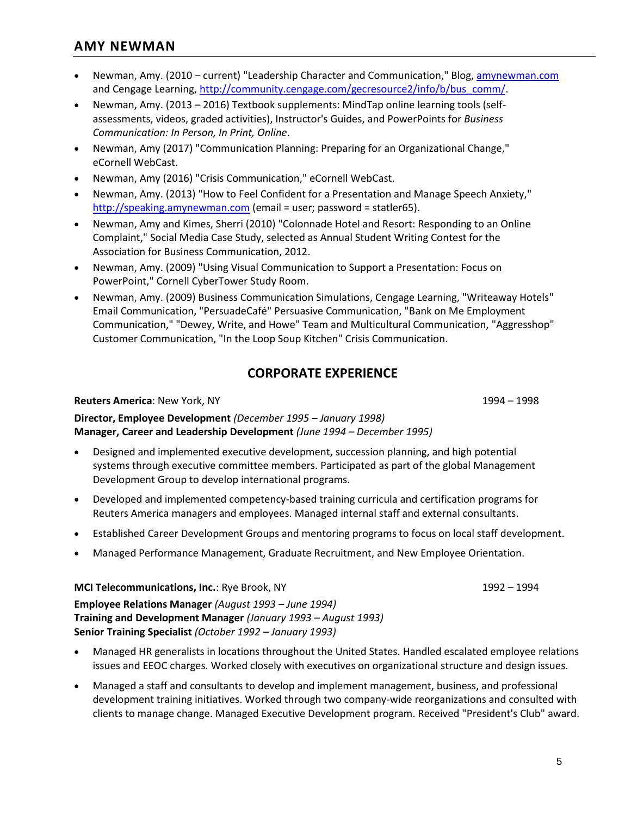- Newman, Amy. (2010 current) "Leadership Character and Communication," Blog, [amynewman.com](file:///C:/Users/an97/Documents/Career%20and%20Performance/amynewman.com) and Cengage Learning, [http://community.cengage.com/gecresource2/info/b/bus\\_comm/](http://community.cengage.com/gecresource2/info/b/bus_comm/).
- Newman, Amy. (2013 2016) Textbook supplements: MindTap online learning tools (selfassessments, videos, graded activities), Instructor's Guides, and PowerPoints for *Business Communication: In Person, In Print, Online*.
- Newman, Amy (2017) "Communication Planning: Preparing for an Organizational Change," eCornell WebCast.
- Newman, Amy (2016) "Crisis Communication," eCornell WebCast.
- Newman, Amy. (2013) "How to Feel Confident for a Presentation and Manage Speech Anxiety," [http://speaking.amynewman.com](http://speaking.amynewman.com/) (email = user; password = statler65).
- Newman, Amy and Kimes, Sherri (2010) "Colonnade Hotel and Resort: Responding to an Online Complaint," Social Media Case Study, selected as Annual Student Writing Contest for the Association for Business Communication, 2012.
- Newman, Amy. (2009) "Using Visual Communication to Support a Presentation: Focus on PowerPoint," Cornell CyberTower Study Room.
- Newman, Amy. (2009) Business Communication Simulations, Cengage Learning, "Writeaway Hotels" Email Communication, "PersuadeCafé" Persuasive Communication, "Bank on Me Employment Communication," "Dewey, Write, and Howe" Team and Multicultural Communication, "Aggresshop" Customer Communication, "In the Loop Soup Kitchen" Crisis Communication.

# **CORPORATE EXPERIENCE**

#### **Reuters America**: New York, NY 1994 – 1998

**Director, Employee Development** *(December 1995 – January 1998)* **Manager, Career and Leadership Development** *(June 1994 – December 1995)*

- Designed and implemented executive development, succession planning, and high potential systems through executive committee members. Participated as part of the global Management Development Group to develop international programs.
- Developed and implemented competency-based training curricula and certification programs for Reuters America managers and employees. Managed internal staff and external consultants.
- Established Career Development Groups and mentoring programs to focus on local staff development.
- Managed Performance Management, Graduate Recruitment, and New Employee Orientation.

**MCI Telecommunications, Inc.**: Rye Brook, NY1992 – 1994

**Employee Relations Manager** *(August 1993 – June 1994)* **Training and Development Manager** *(January 1993 – August 1993)* **Senior Training Specialist** *(October 1992 – January 1993)*

- Managed HR generalists in locations throughout the United States. Handled escalated employee relations issues and EEOC charges. Worked closely with executives on organizational structure and design issues.
- Managed a staff and consultants to develop and implement management, business, and professional development training initiatives. Worked through two company-wide reorganizations and consulted with clients to manage change. Managed Executive Development program. Received "President's Club" award.

5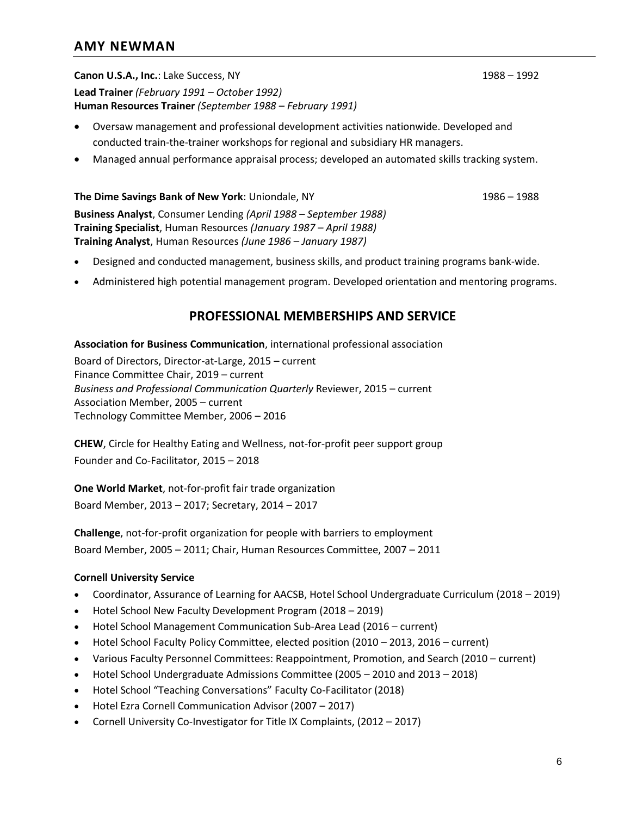**Canon U.S.A., Inc.**: Lake Success, NY 1988 – 1992 **Lead Trainer** *(February 1991 – October 1992)* **Human Resources Trainer** *(September 1988 – February 1991)*

- Oversaw management and professional development activities nationwide. Developed and conducted train-the-trainer workshops for regional and subsidiary HR managers.
- Managed annual performance appraisal process; developed an automated skills tracking system.

#### **The Dime Savings Bank of New York**: Uniondale, NY 1986 – 1988

**Business Analyst**, Consumer Lending *(April 1988 – September 1988)* **Training Specialist**, Human Resources *(January 1987 – April 1988)* **Training Analyst**, Human Resources *(June 1986 – January 1987)*

- Designed and conducted management, business skills, and product training programs bank-wide.
- Administered high potential management program. Developed orientation and mentoring programs.

#### **PROFESSIONAL MEMBERSHIPS AND SERVICE**

**Association for Business Communication**, international professional association

Board of Directors, Director-at-Large, 2015 – current Finance Committee Chair, 2019 – current *Business and Professional Communication Quarterly* Reviewer, 2015 – current Association Member, 2005 – current Technology Committee Member, 2006 – 2016

**CHEW**, Circle for Healthy Eating and Wellness, not-for-profit peer support group Founder and Co-Facilitator, 2015 – 2018

**One World Market**, not-for-profit fair trade organization

Board Member, 2013 – 2017; Secretary, 2014 – 2017

**Challenge**, not-for-profit organization for people with barriers to employment Board Member, 2005 – 2011; Chair, Human Resources Committee, 2007 – 2011

#### **Cornell University Service**

- Coordinator, Assurance of Learning for AACSB, Hotel School Undergraduate Curriculum (2018 2019)
- Hotel School New Faculty Development Program (2018 2019)
- Hotel School Management Communication Sub-Area Lead (2016 current)
- Hotel School Faculty Policy Committee, elected position (2010 2013, 2016 current)
- Various Faculty Personnel Committees: Reappointment, Promotion, and Search (2010 current)
- Hotel School Undergraduate Admissions Committee (2005 2010 and 2013 2018)
- Hotel School "Teaching Conversations" Faculty Co-Facilitator (2018)
- Hotel Ezra Cornell Communication Advisor (2007 2017)
- Cornell University Co-Investigator for Title IX Complaints, (2012 2017)